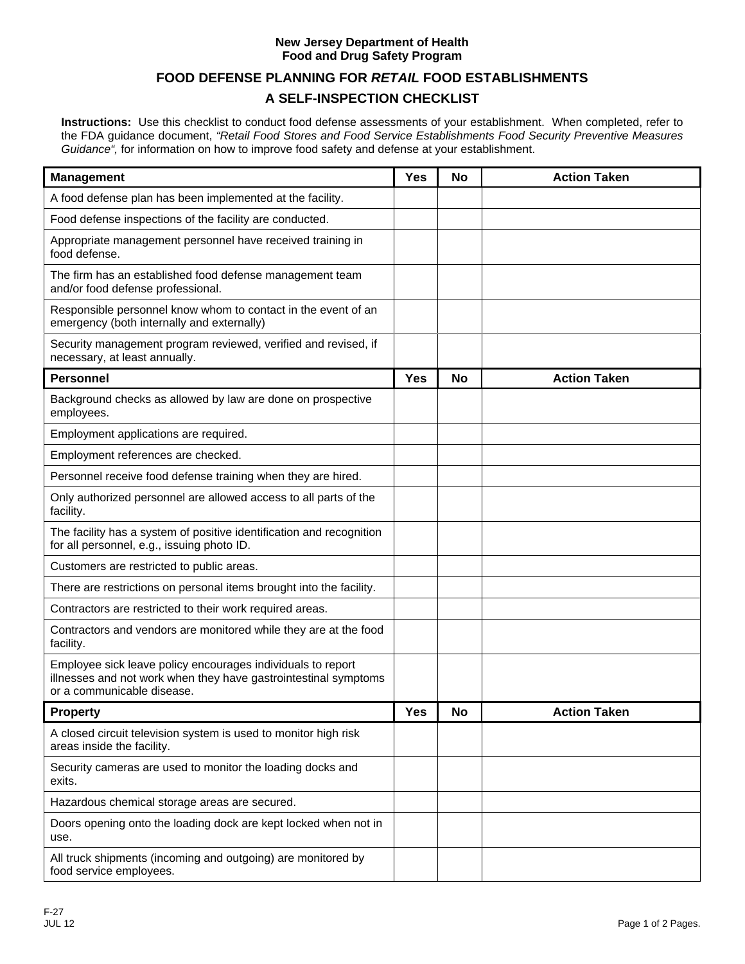### **New Jersey Department of Health Food and Drug Safety Program**

# **FOOD DEFENSE PLANNING FOR** *RETAIL* **FOOD ESTABLISHMENTS**

# **A SELF-INSPECTION CHECKLIST**

**Instructions:** Use this checklist to conduct food defense assessments of your establishment. When completed, refer to the FDA guidance document, *"Retail Food Stores and Food Service Establishments Food Security Preventive Measures Guidance",* for information on how to improve food safety and defense at your establishment.

| <b>Management</b>                                                                                                                                            | <b>Yes</b> | No | <b>Action Taken</b> |
|--------------------------------------------------------------------------------------------------------------------------------------------------------------|------------|----|---------------------|
| A food defense plan has been implemented at the facility.                                                                                                    |            |    |                     |
| Food defense inspections of the facility are conducted.                                                                                                      |            |    |                     |
| Appropriate management personnel have received training in<br>food defense.                                                                                  |            |    |                     |
| The firm has an established food defense management team<br>and/or food defense professional.                                                                |            |    |                     |
| Responsible personnel know whom to contact in the event of an<br>emergency (both internally and externally)                                                  |            |    |                     |
| Security management program reviewed, verified and revised, if<br>necessary, at least annually.                                                              |            |    |                     |
| <b>Personnel</b>                                                                                                                                             | <b>Yes</b> | No | <b>Action Taken</b> |
| Background checks as allowed by law are done on prospective<br>employees.                                                                                    |            |    |                     |
| Employment applications are required.                                                                                                                        |            |    |                     |
| Employment references are checked.                                                                                                                           |            |    |                     |
| Personnel receive food defense training when they are hired.                                                                                                 |            |    |                     |
| Only authorized personnel are allowed access to all parts of the<br>facility.                                                                                |            |    |                     |
| The facility has a system of positive identification and recognition<br>for all personnel, e.g., issuing photo ID.                                           |            |    |                     |
| Customers are restricted to public areas.                                                                                                                    |            |    |                     |
| There are restrictions on personal items brought into the facility.                                                                                          |            |    |                     |
| Contractors are restricted to their work required areas.                                                                                                     |            |    |                     |
| Contractors and vendors are monitored while they are at the food<br>facility.                                                                                |            |    |                     |
| Employee sick leave policy encourages individuals to report<br>illnesses and not work when they have gastrointestinal symptoms<br>or a communicable disease. |            |    |                     |
| <b>Property</b>                                                                                                                                              | Yes        | No | <b>Action Taken</b> |
| A closed circuit television system is used to monitor high risk<br>areas inside the facility.                                                                |            |    |                     |
| Security cameras are used to monitor the loading docks and<br>exits.                                                                                         |            |    |                     |
| Hazardous chemical storage areas are secured.                                                                                                                |            |    |                     |
| Doors opening onto the loading dock are kept locked when not in<br>use.                                                                                      |            |    |                     |
| All truck shipments (incoming and outgoing) are monitored by<br>food service employees.                                                                      |            |    |                     |